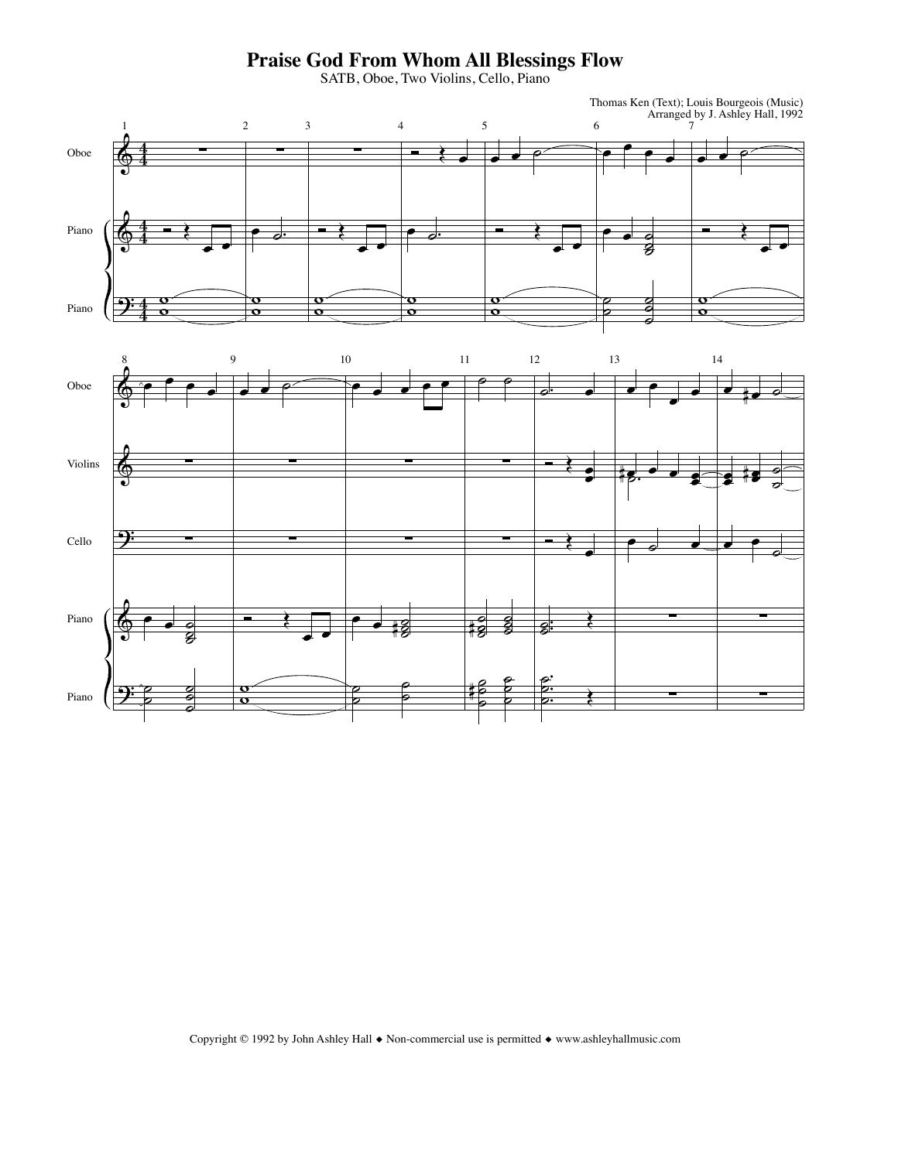**Praise God From Whom All Blessings Flow**

SATB, Oboe, Two Violins, Cello, Piano



Copyright © 1992 by John Ashley Hall ◆ Non-commercial use is permitted ◆ www.ashleyhallmusic.com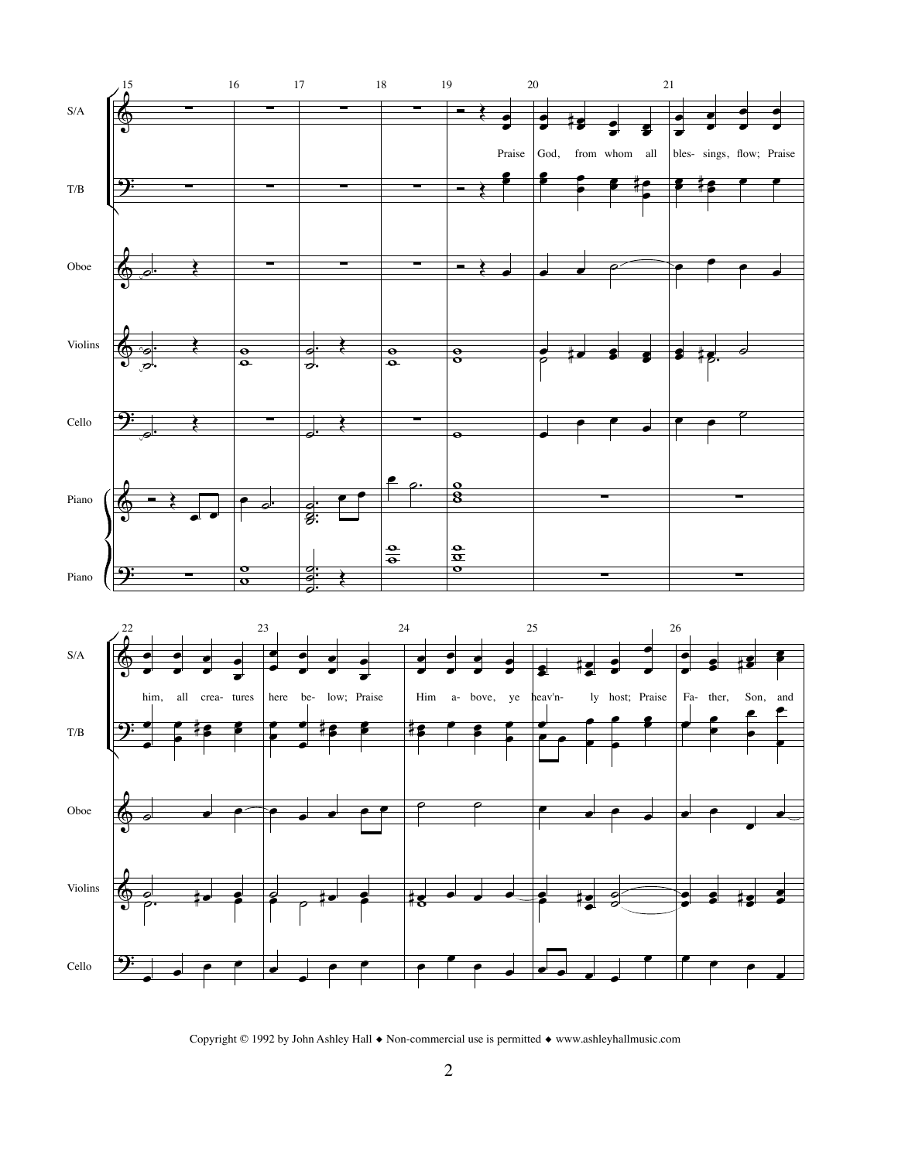

Copyright © 1992 by John Ashley Hall  $\bullet$  Non-commercial use is permitted  $\bullet$  www.ashleyhallmusic.com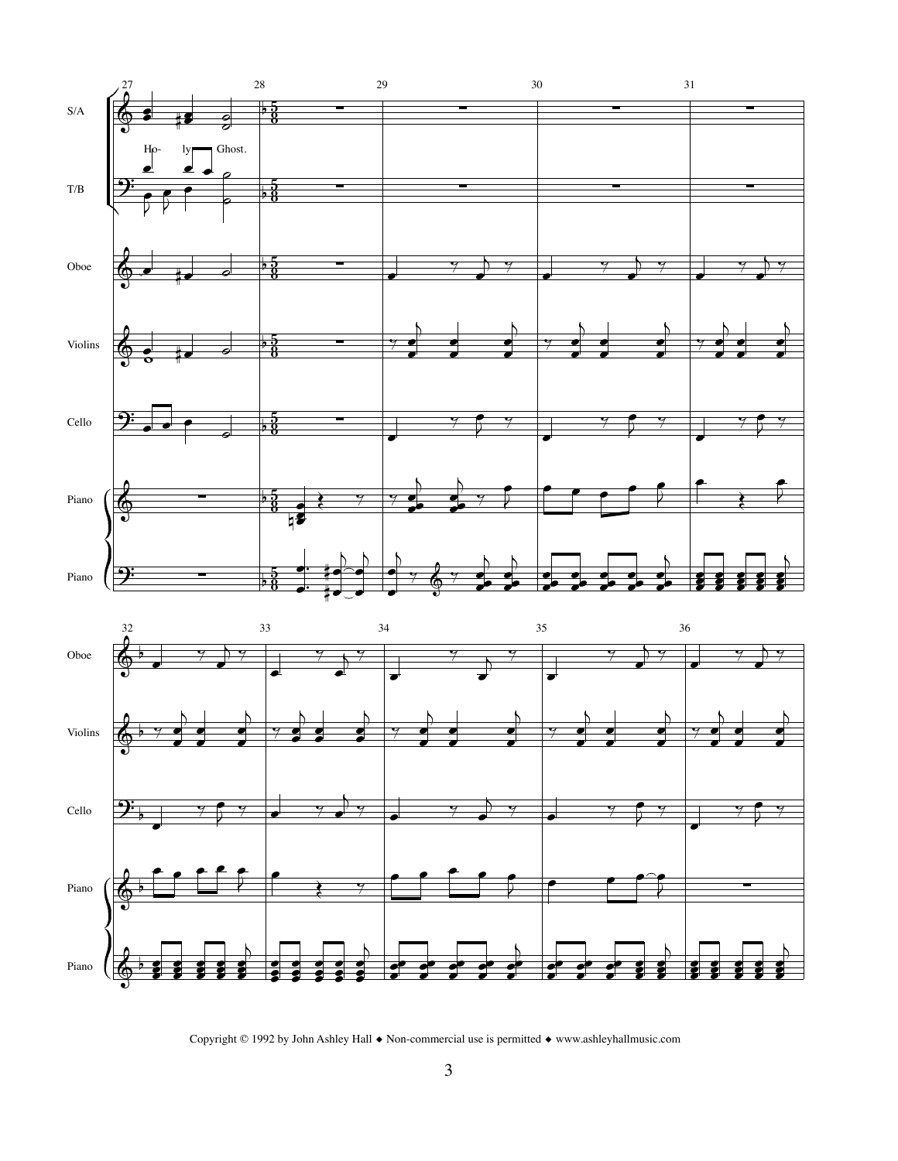

Copyright © 1992 by John Ashley Hall  $\bullet$  Non-commercial use is permitted  $\bullet$  www.ashleyhallmusic.com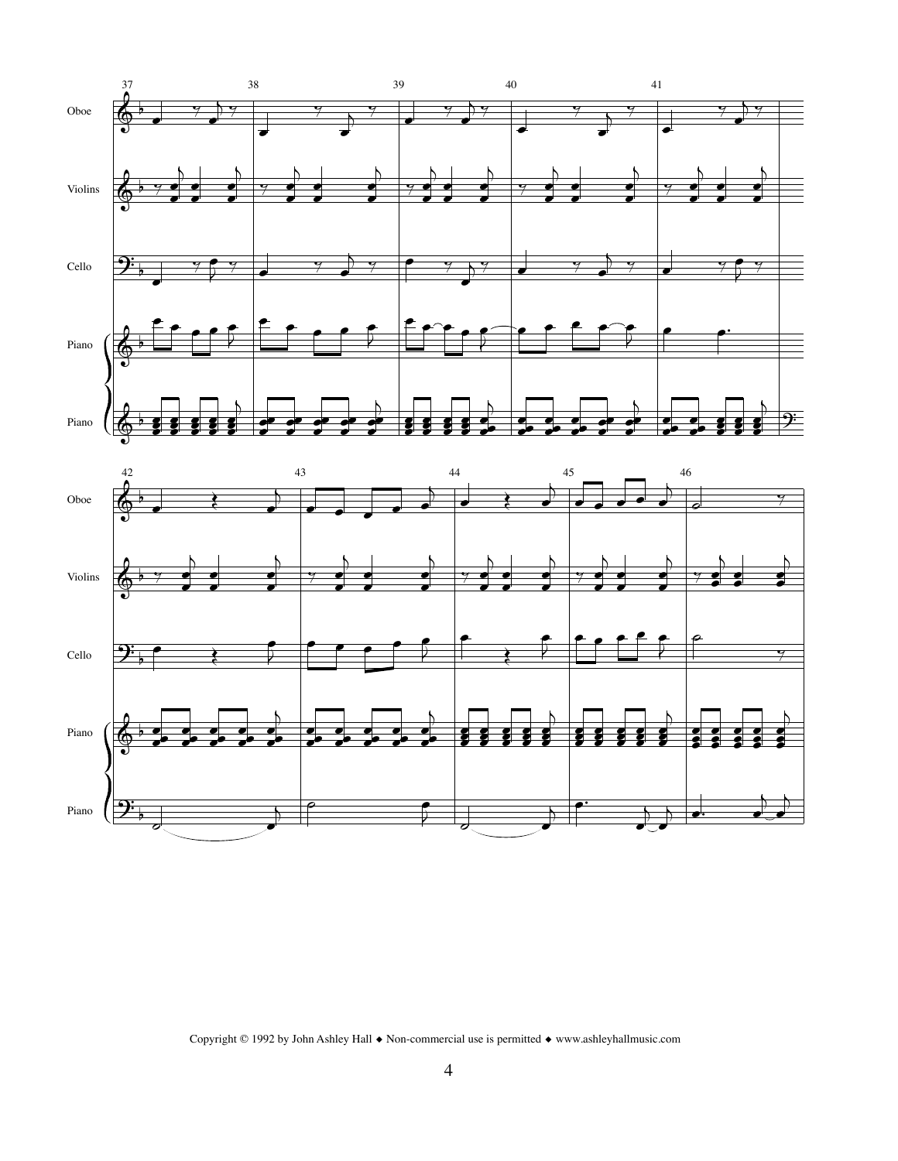



Copyright © 1992 by John Ashley Hall  $\bullet$  Non-commercial use is permitted  $\bullet$  www.ashleyhallmusic.com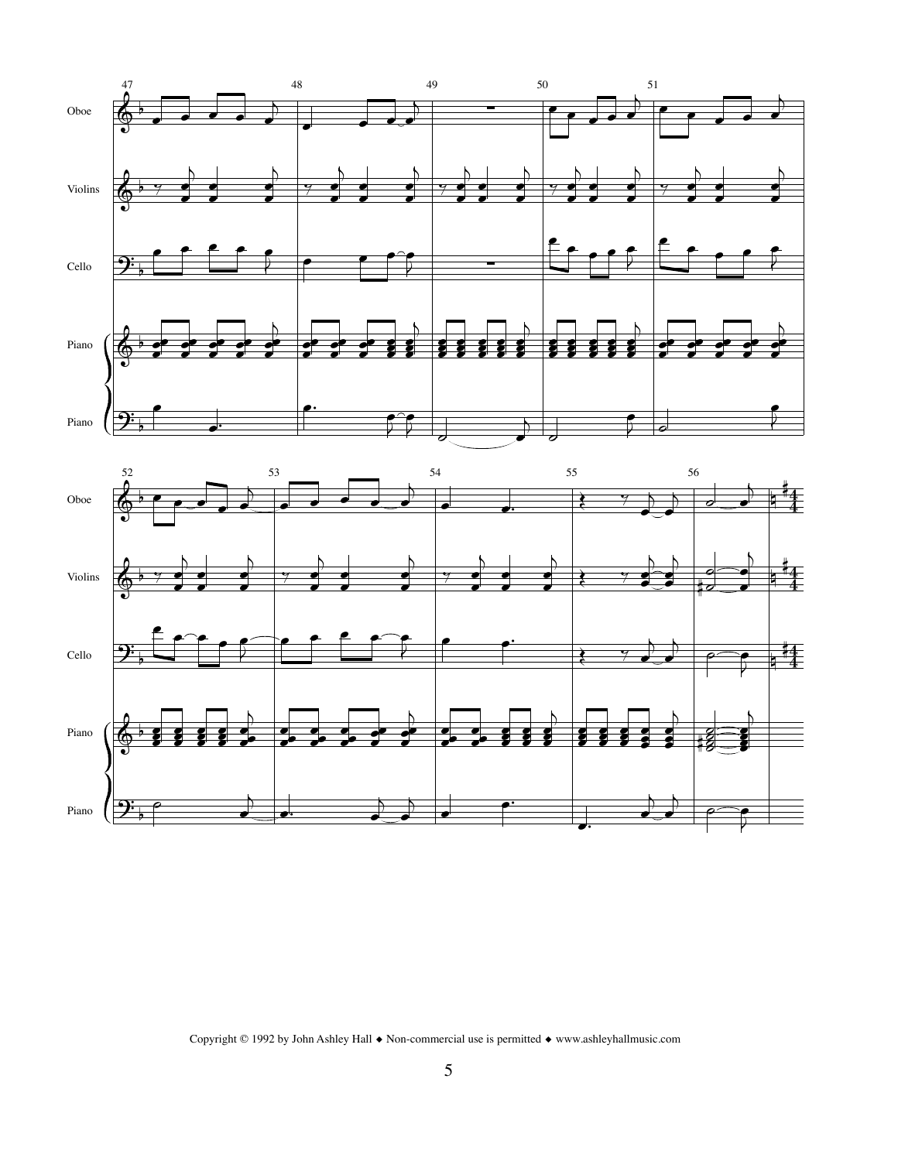



Copyright © 1992 by John Ashley Hall ◆ Non-commercial use is permitted ◆ www.ashleyhallmusic.com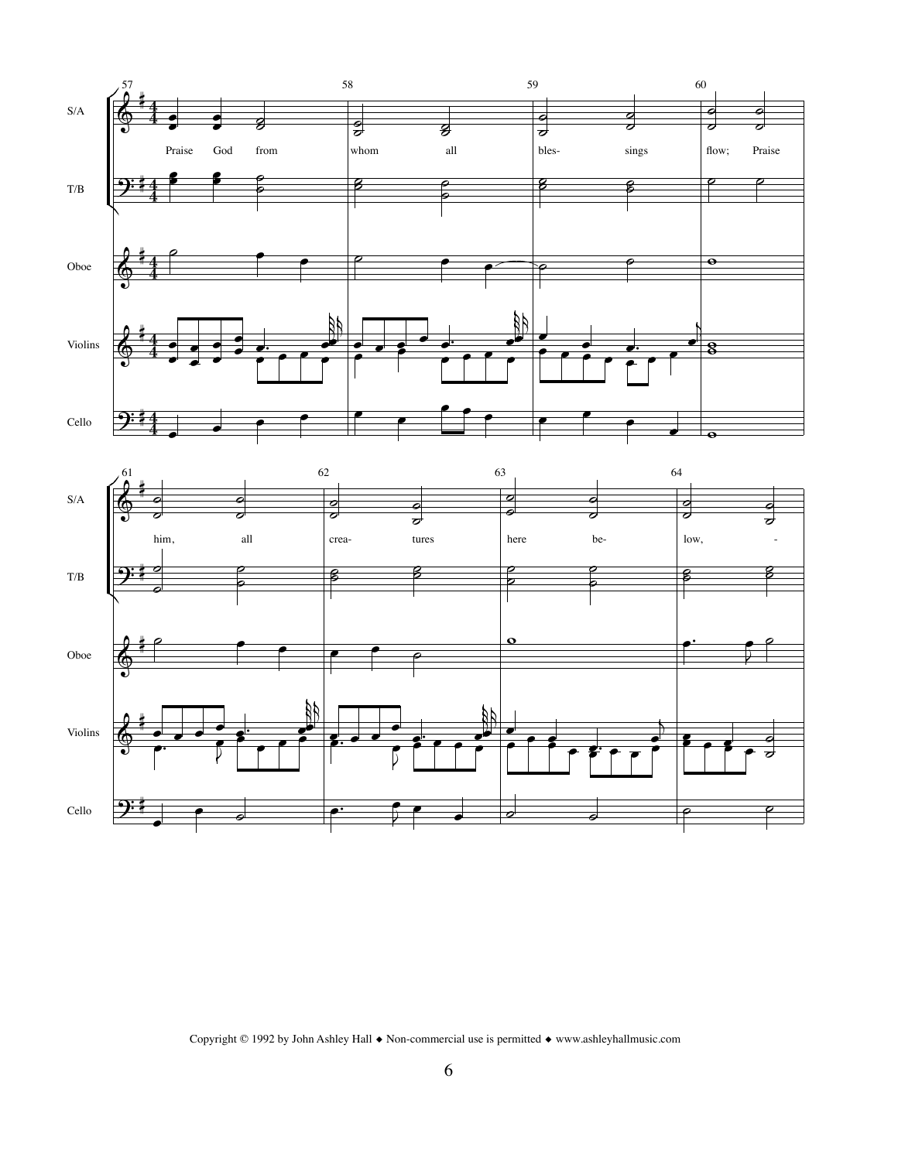



Copyright © 1992 by John Ashley Hall ◆ Non-commercial use is permitted ◆ www.ashleyhallmusic.com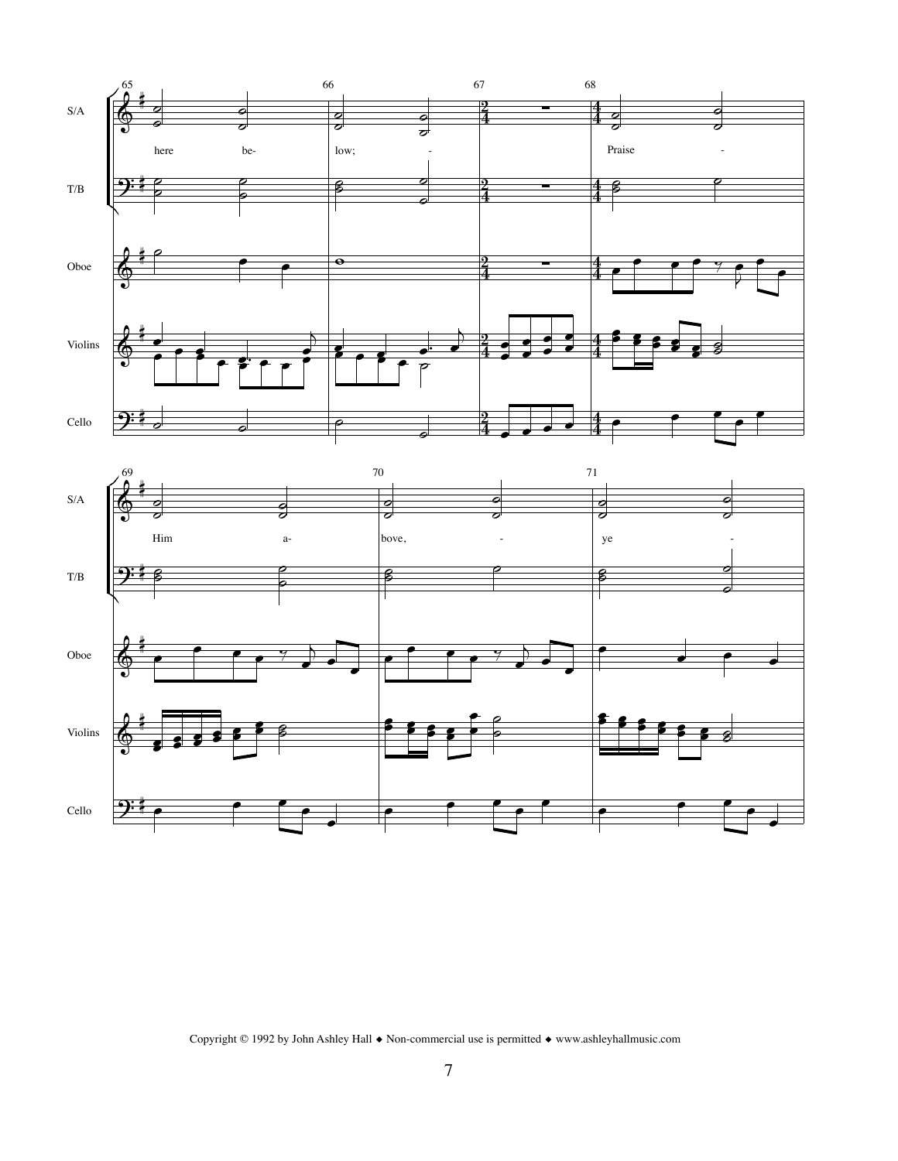



Copyright © 1992 by John Ashley Hall ◆ Non-commercial use is permitted ◆ www.ashleyhallmusic.com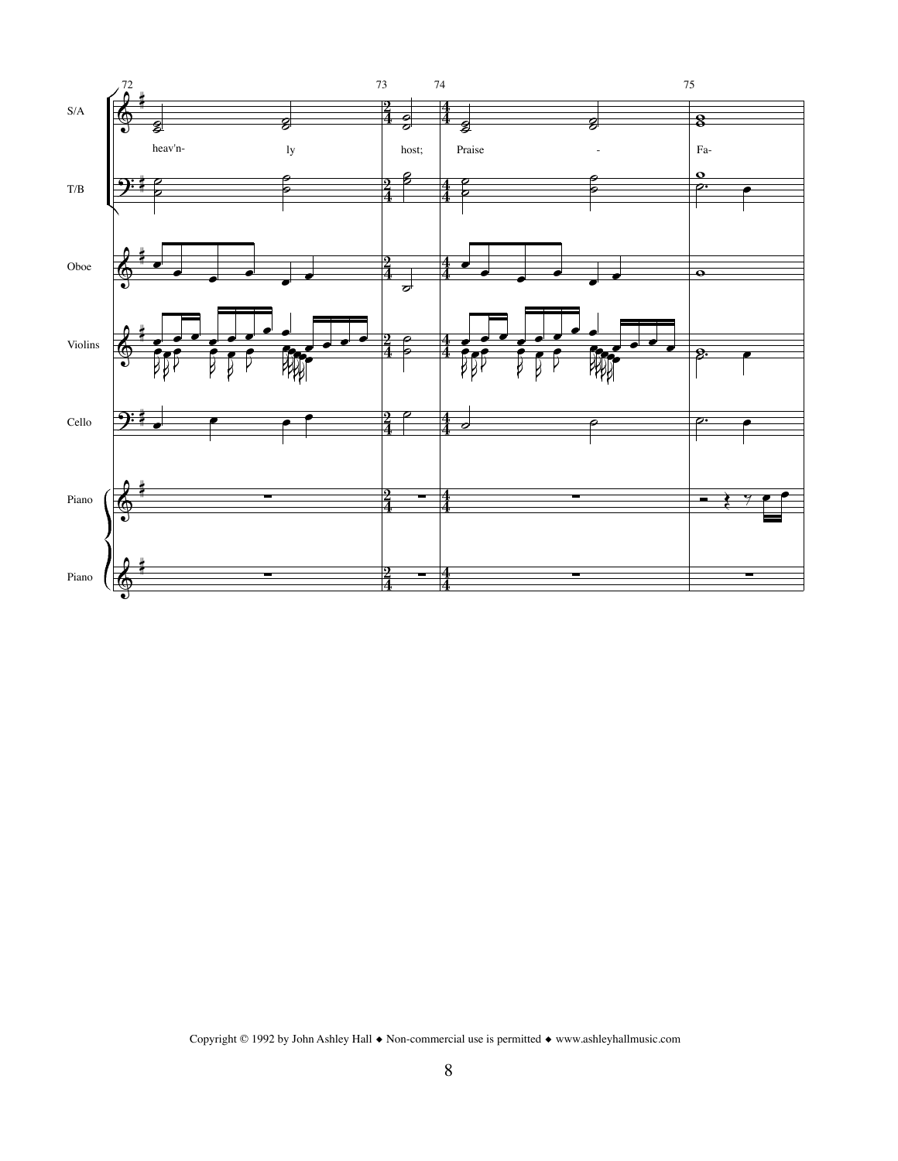

Copyright © 1992 by John Ashley Hall ◆ Non-commercial use is permitted ◆ www.ashleyhallmusic.com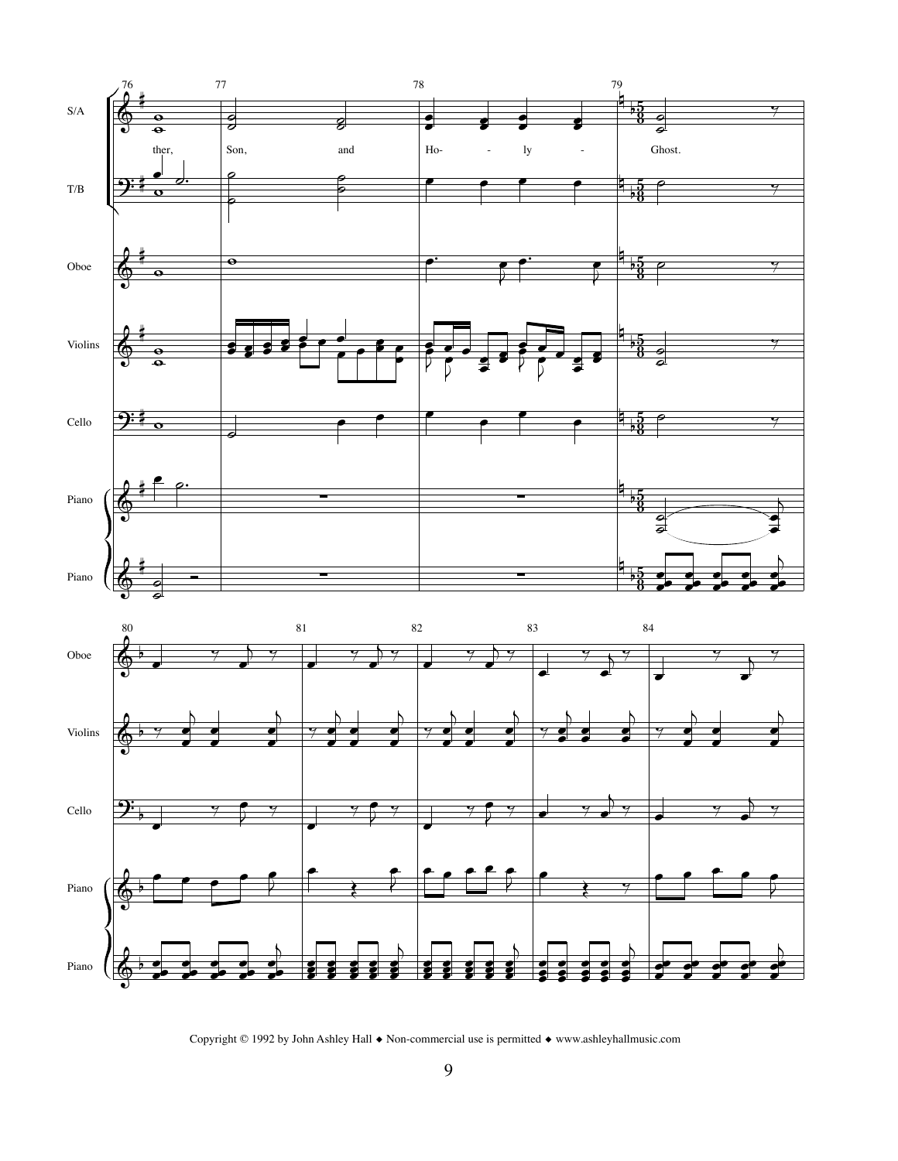

Copyright © 1992 by John Ashley Hall  $\bullet$  Non-commercial use is permitted  $\bullet$  www.ashleyhallmusic.com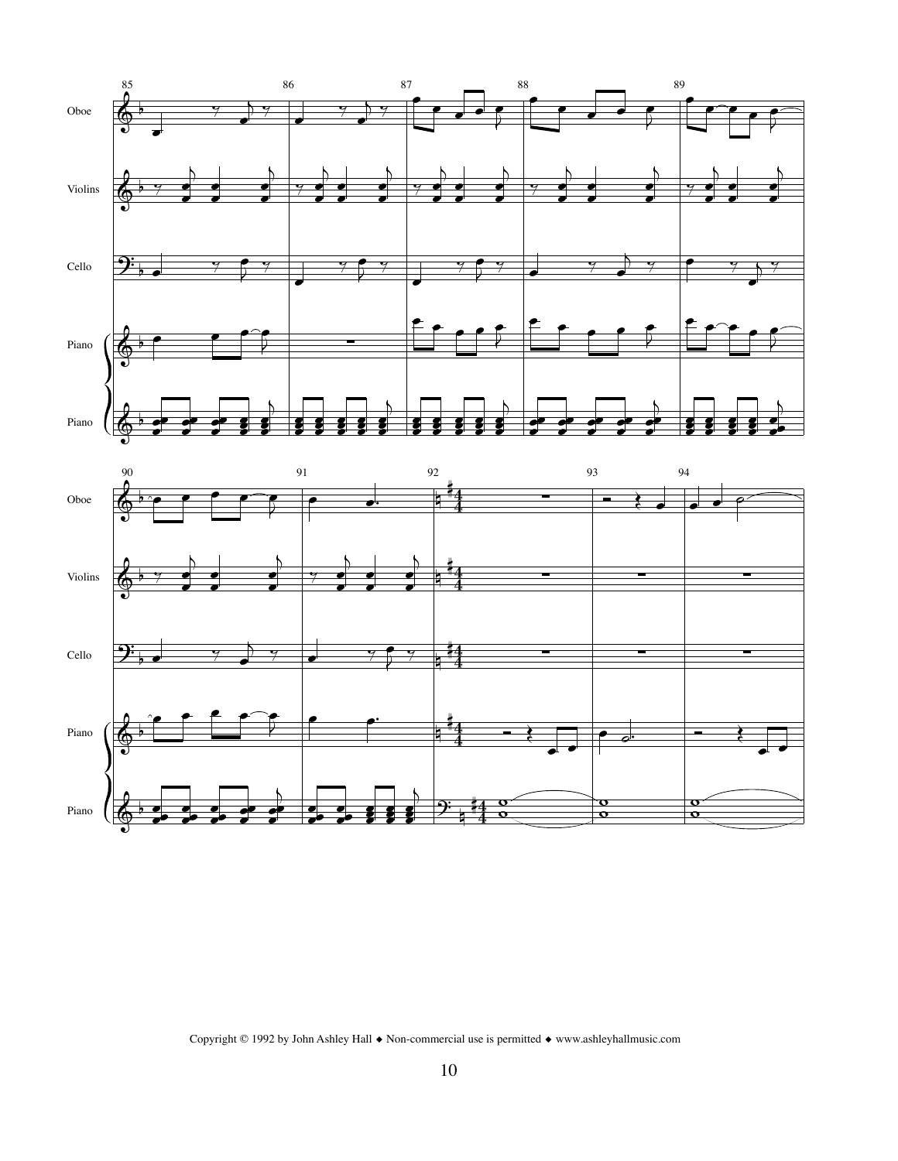



Copyright © 1992 by John Ashley Hall ◆ Non-commercial use is permitted ◆ www.ashleyhallmusic.com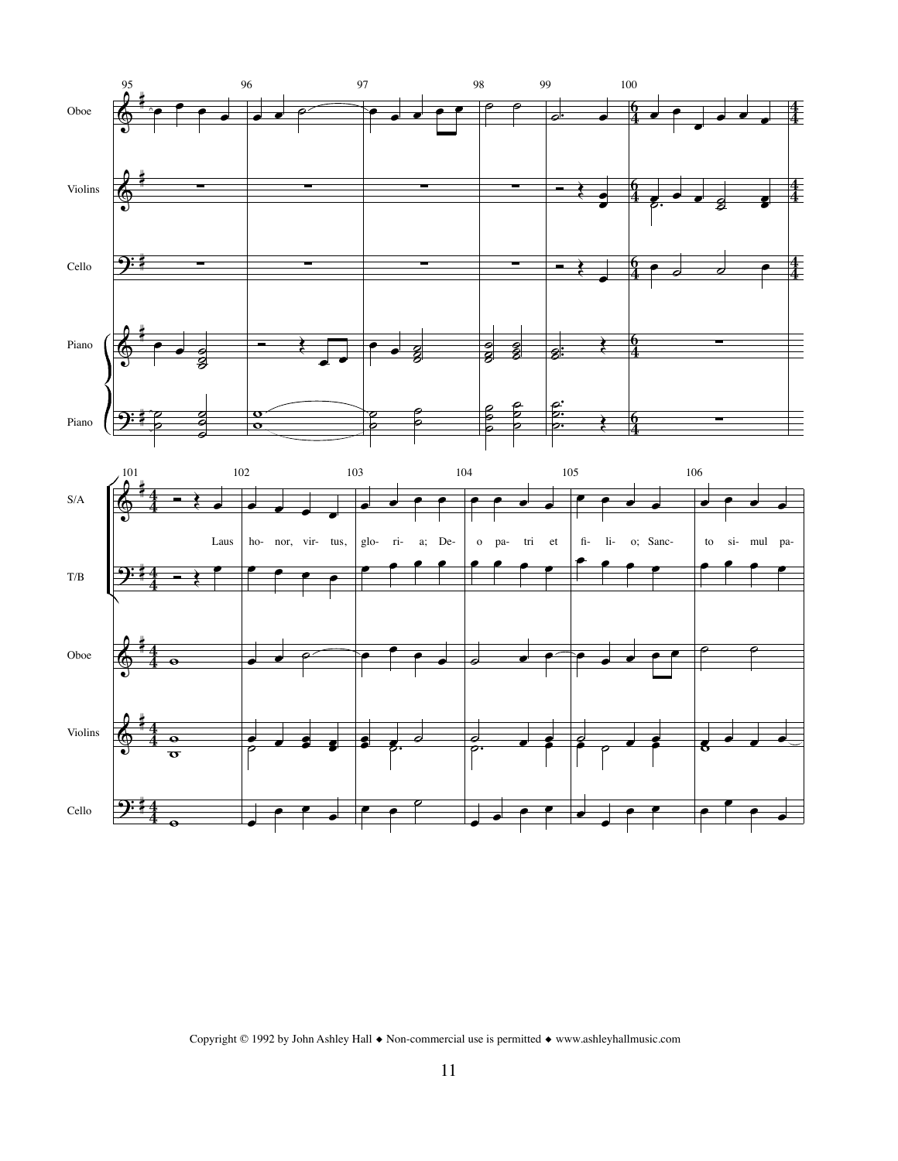

Copyright © 1992 by John Ashley Hall  $\bullet$  Non-commercial use is permitted  $\bullet$  www.ashleyhallmusic.com

 $\overline{\mathbf{o}}$ 

Cello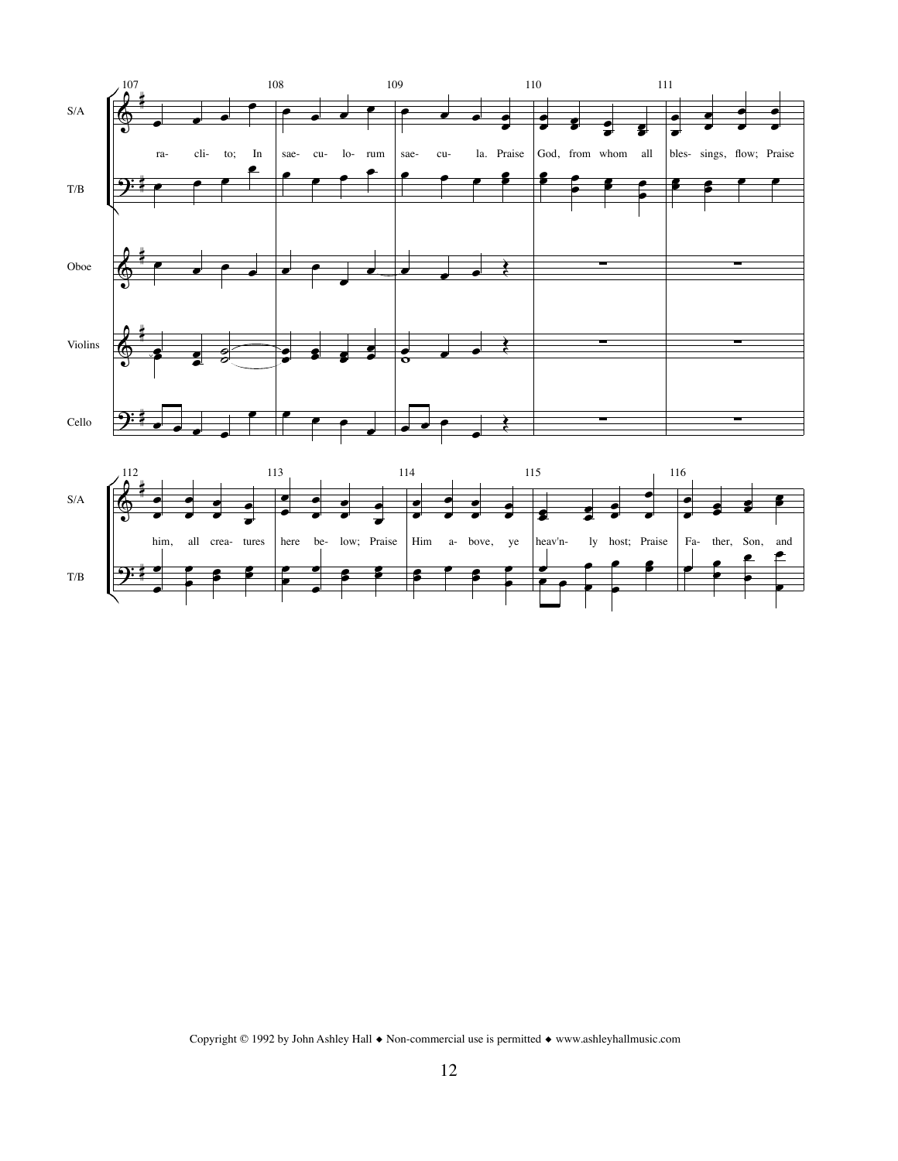



Copyright © 1992 by John Ashley Hall  $\bullet$  Non-commercial use is permitted  $\bullet$  www.ashleyhallmusic.com